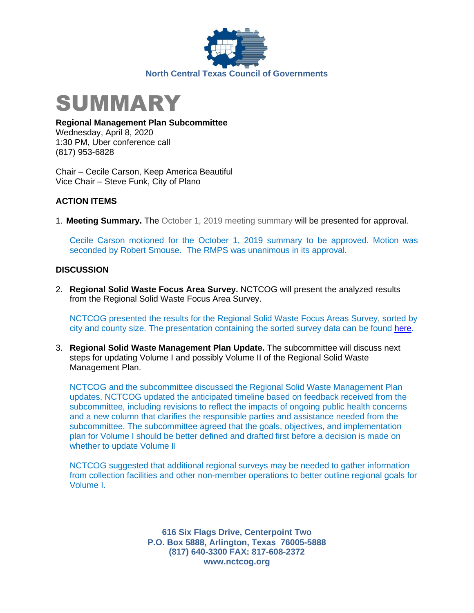



**Regional Management Plan Subcommittee**

Wednesday, April 8, 2020 1:30 PM, Uber conference call (817) 953-6828

Chair – Cecile Carson, Keep America Beautiful Vice Chair – Steve Funk, City of Plano

## **ACTION ITEMS**

1. **Meeting Summary.** The [October 1, 2019 meeting summary](https://www.nctcog.org/nctcg/media/Environment-and-Development/Committee%20Documents/RCC-Regional%20Management%20Plan%20Sub/FY2019/2018-09-24-RMPS-Summary.pdf?ext=.pdf) will be presented for approval.

Cecile Carson motioned for the October 1, 2019 summary to be approved. Motion was seconded by Robert Smouse. The RMPS was unanimous in its approval.

## **DISCUSSION**

2. **Regional Solid Waste Focus Area Survey.** NCTCOG will present the analyzed results from the Regional Solid Waste Focus Area Survey.

NCTCOG presented the results for the Regional Solid Waste Focus Areas Survey, sorted by city and county size. The presentation containing the sorted survey data can be found [here.](https://www.nctcog.org/nctcg/media/Environment-and-Development/Committee%20Documents/RCC-Regional%20Management%20Plan%20Sub/FY2020/2020-04-08_RMPS-Presentation.pdf?ext=.pdf)

3. **Regional Solid Waste Management Plan Update.** The subcommittee will discuss next steps for updating Volume I and possibly Volume II of the Regional Solid Waste Management Plan.

NCTCOG and the subcommittee discussed the Regional Solid Waste Management Plan updates. NCTCOG updated the anticipated timeline based on feedback received from the subcommittee, including revisions to reflect the impacts of ongoing public health concerns and a new column that clarifies the responsible parties and assistance needed from the subcommittee. The subcommittee agreed that the goals, objectives, and implementation plan for Volume I should be better defined and drafted first before a decision is made on whether to update Volume II

NCTCOG suggested that additional regional surveys may be needed to gather information from collection facilities and other non-member operations to better outline regional goals for Volume I.

> **616 Six Flags Drive, Centerpoint Two P.O. Box 5888, Arlington, Texas 76005-5888 (817) 640-3300 FAX: 817-608-2372 www.nctcog.org**